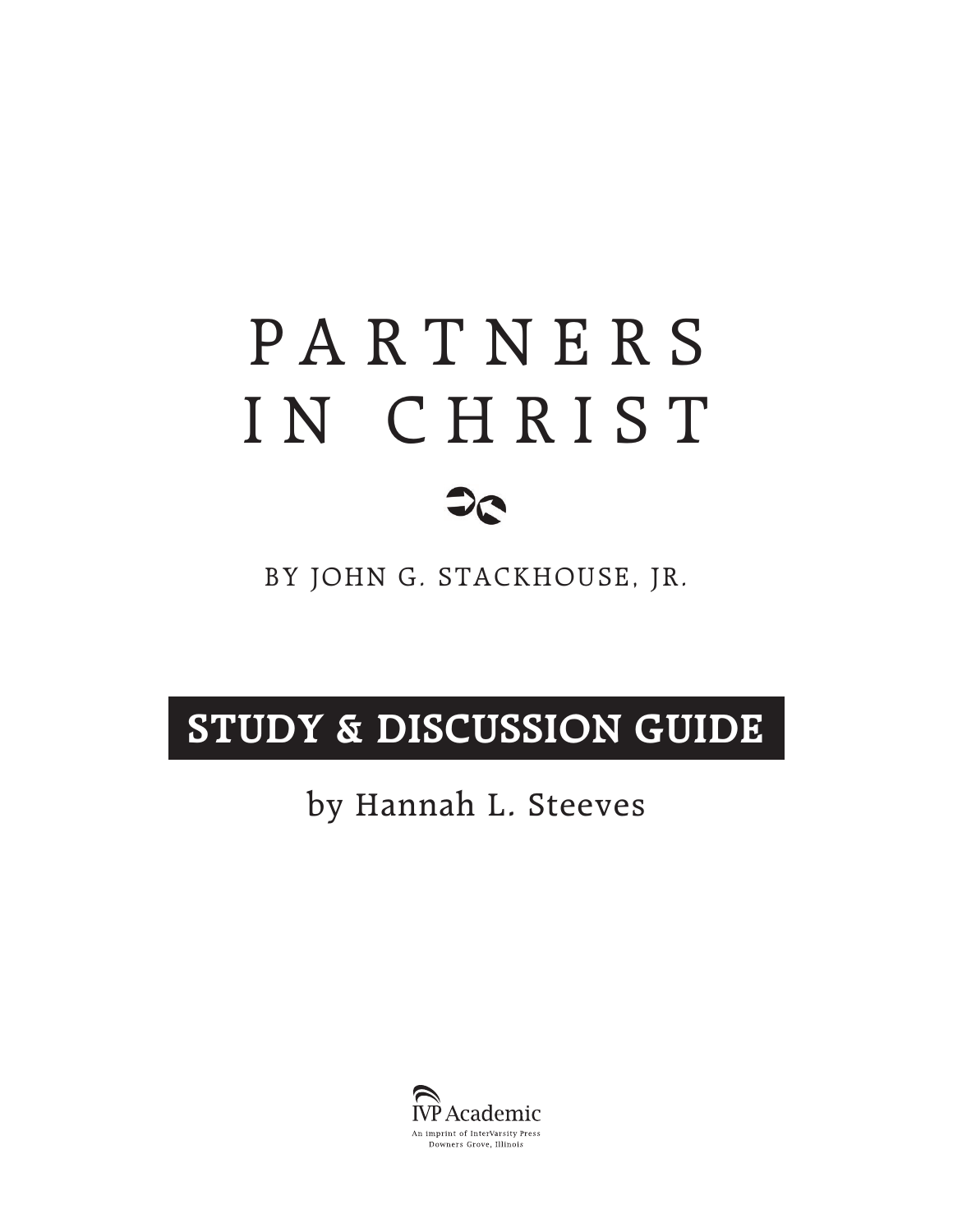# P A R T N E R S IN CHRIST



### BY JOHN G. STACKHOUSE, JR.

# **STUDY & DISCUSSION GUIDE**

## by Hannah L. Steeves

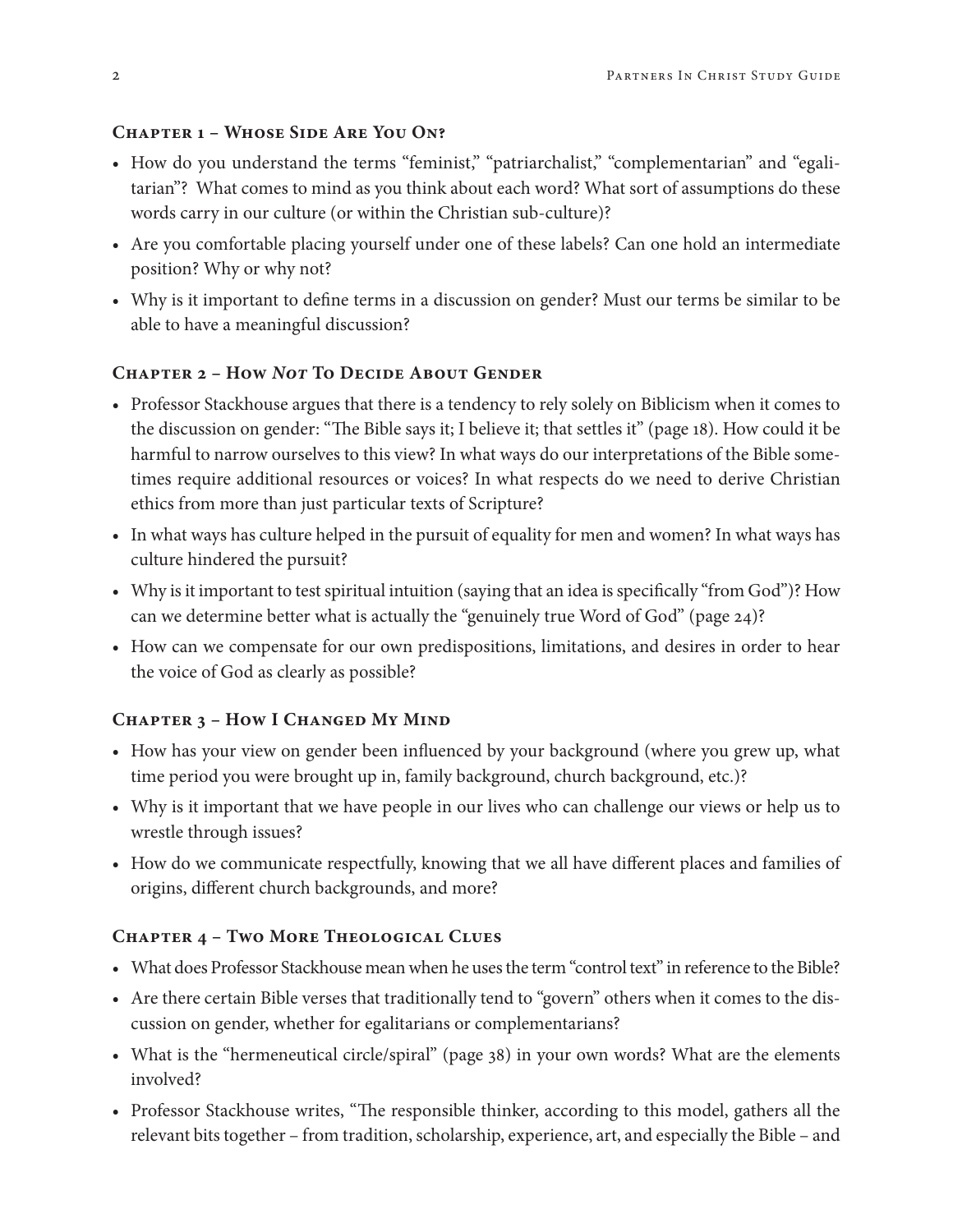#### **Chapter 1 – Whose Side Are You On?**

- How do you understand the terms "feminist," "patriarchalist," "complementarian" and "egalitarian"? What comes to mind as you think about each word? What sort of assumptions do these words carry in our culture (or within the Christian sub-culture)?
- Are you comfortable placing yourself under one of these labels? Can one hold an intermediate position? Why or why not?
- Why is it important to define terms in a discussion on gender? Must our terms be similar to be able to have a meaningful discussion?

#### **Chapter 2 – How** *Not* **To Decide About Gender**

- Professor Stackhouse argues that there is a tendency to rely solely on Biblicism when it comes to the discussion on gender: "The Bible says it; I believe it; that settles it" (page 18). How could it be harmful to narrow ourselves to this view? In what ways do our interpretations of the Bible sometimes require additional resources or voices? In what respects do we need to derive Christian ethics from more than just particular texts of Scripture?
- In what ways has culture helped in the pursuit of equality for men and women? In what ways has culture hindered the pursuit?
- Why is it important to test spiritual intuition (saying that an idea is specifically "from God")? How can we determine better what is actually the "genuinely true Word of God" (page 24)?
- How can we compensate for our own predispositions, limitations, and desires in order to hear the voice of God as clearly as possible?

#### **Chapter 3 – How I Changed My Mind**

- How has your view on gender been influenced by your background (where you grew up, what time period you were brought up in, family background, church background, etc.)?
- Why is it important that we have people in our lives who can challenge our views or help us to wrestle through issues?
- How do we communicate respectfully, knowing that we all have different places and families of origins, different church backgrounds, and more?

#### **Chapter 4 – Two More Theological Clues**

- What does Professor Stackhouse mean when he uses the term "control text" in reference to the Bible?
- Are there certain Bible verses that traditionally tend to "govern" others when it comes to the discussion on gender, whether for egalitarians or complementarians?
- What is the "hermeneutical circle/spiral" (page 38) in your own words? What are the elements involved?
- Professor Stackhouse writes, "The responsible thinker, according to this model, gathers all the relevant bits together – from tradition, scholarship, experience, art, and especially the Bible – and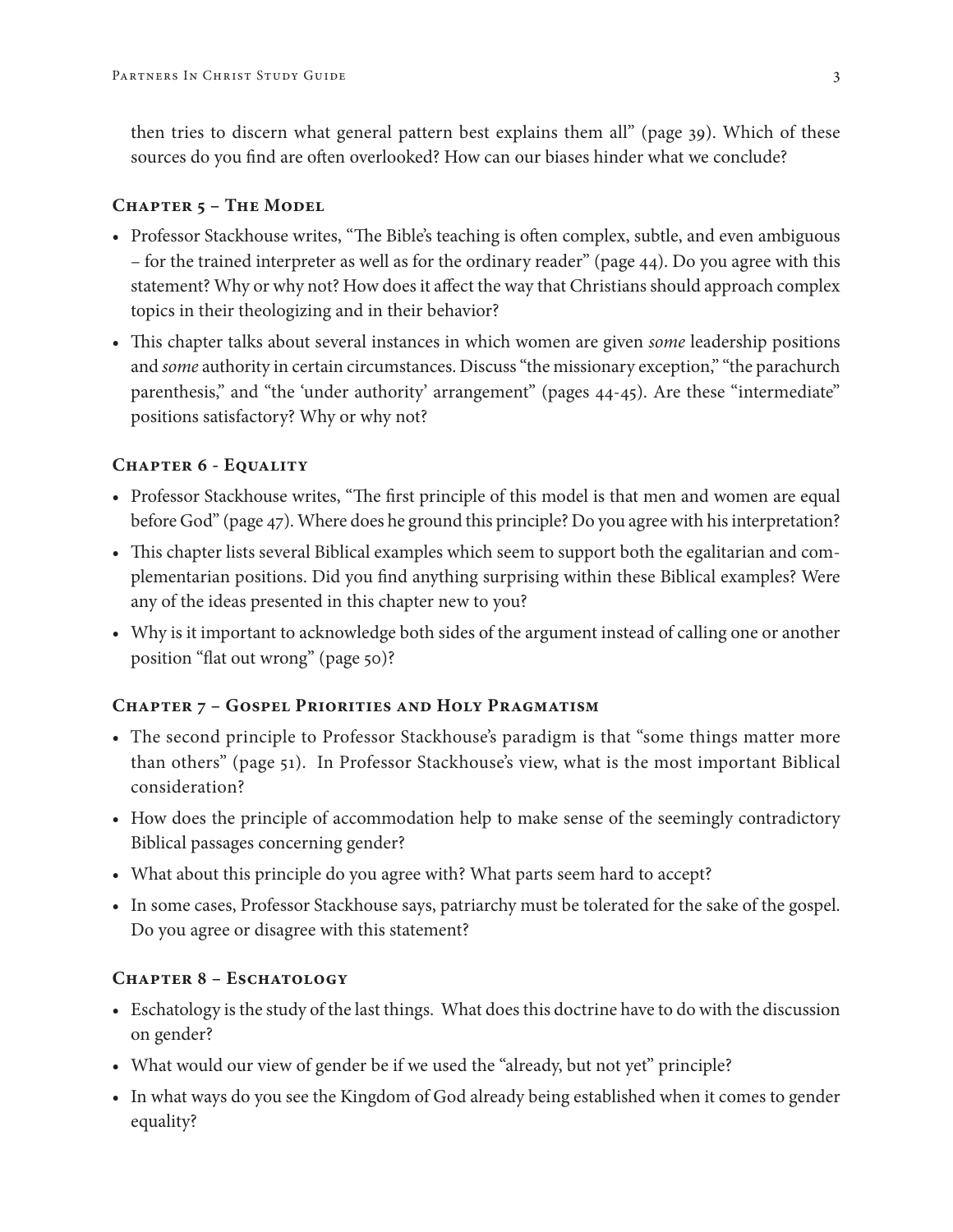then tries to discern what general pattern best explains them all" (page 39). Which of these sources do you find are often overlooked? How can our biases hinder what we conclude?

#### **Chapter 5 – The Model**

- Professor Stackhouse writes, "The Bible's teaching is often complex, subtle, and even ambiguous – for the trained interpreter as well as for the ordinary reader" (page 44). Do you agree with this statement? Why or why not? How does it affect the way that Christians should approach complex topics in their theologizing and in their behavior?
- This chapter talks about several instances in which women are given *some* leadership positions and *some* authority in certain circumstances. Discuss "the missionary exception," "the parachurch parenthesis," and "the 'under authority' arrangement" (pages 44-45). Are these "intermediate" positions satisfactory? Why or why not?

#### **Chapter 6 - Equality**

- Professor Stackhouse writes, "The first principle of this model is that men and women are equal before God" (page 47). Where does he ground this principle? Do you agree with his interpretation?
- This chapter lists several Biblical examples which seem to support both the egalitarian and complementarian positions. Did you find anything surprising within these Biblical examples? Were any of the ideas presented in this chapter new to you?
- Why is it important to acknowledge both sides of the argument instead of calling one or another position "flat out wrong" (page 50)?

#### **Chapter 7 – Gospel Priorities and Holy Pragmatism**

- The second principle to Professor Stackhouse's paradigm is that "some things matter more than others" (page 51). In Professor Stackhouse's view, what is the most important Biblical consideration?
- How does the principle of accommodation help to make sense of the seemingly contradictory Biblical passages concerning gender?
- What about this principle do you agree with? What parts seem hard to accept?
- In some cases, Professor Stackhouse says, patriarchy must be tolerated for the sake of the gospel. Do you agree or disagree with this statement?

#### **Chapter 8 – Eschatology**

- Eschatology is the study of the last things. What does this doctrine have to do with the discussion on gender?
- What would our view of gender be if we used the "already, but not yet" principle?
- In what ways do you see the Kingdom of God already being established when it comes to gender equality?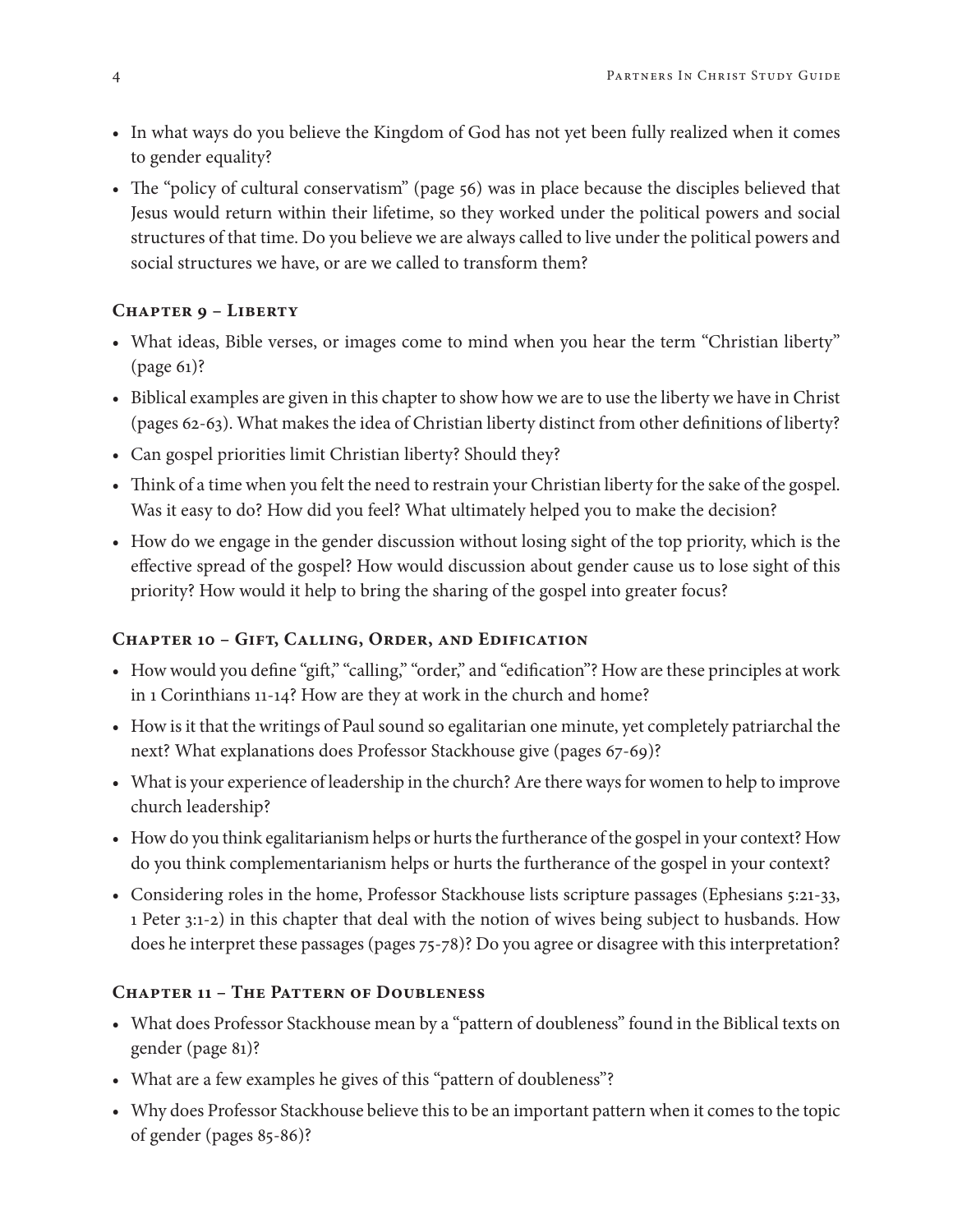- In what ways do you believe the Kingdom of God has not yet been fully realized when it comes to gender equality?
- The "policy of cultural conservatism" (page 56) was in place because the disciples believed that Jesus would return within their lifetime, so they worked under the political powers and social structures of that time. Do you believe we are always called to live under the political powers and social structures we have, or are we called to transform them?

#### **Chapter 9 – Liberty**

- What ideas, Bible verses, or images come to mind when you hear the term "Christian liberty" (page 61)?
- Biblical examples are given in this chapter to show how we are to use the liberty we have in Christ (pages 62-63). What makes the idea of Christian liberty distinct from other definitions of liberty?
- Can gospel priorities limit Christian liberty? Should they?
- Think of a time when you felt the need to restrain your Christian liberty for the sake of the gospel. Was it easy to do? How did you feel? What ultimately helped you to make the decision?
- How do we engage in the gender discussion without losing sight of the top priority, which is the effective spread of the gospel? How would discussion about gender cause us to lose sight of this priority? How would it help to bring the sharing of the gospel into greater focus?

#### **Chapter 10 – Gift, Calling, Order, and Edification**

- How would you define "gift," "calling," "order," and "edification"? How are these principles at work in 1 Corinthians 11-14? How are they at work in the church and home?
- How is it that the writings of Paul sound so egalitarian one minute, yet completely patriarchal the next? What explanations does Professor Stackhouse give (pages 67-69)?
- What is your experience of leadership in the church? Are there ways for women to help to improve church leadership?
- How do you think egalitarianism helps or hurts the furtherance of the gospel in your context? How do you think complementarianism helps or hurts the furtherance of the gospel in your context?
- Considering roles in the home, Professor Stackhouse lists scripture passages (Ephesians 5:21-33, 1 Peter 3:1-2) in this chapter that deal with the notion of wives being subject to husbands. How does he interpret these passages (pages 75-78)? Do you agree or disagree with this interpretation?

#### **Chapter 11 – The Pattern of Doubleness**

- What does Professor Stackhouse mean by a "pattern of doubleness" found in the Biblical texts on gender (page 81)?
- What are a few examples he gives of this "pattern of doubleness"?
- Why does Professor Stackhouse believe this to be an important pattern when it comes to the topic of gender (pages 85-86)?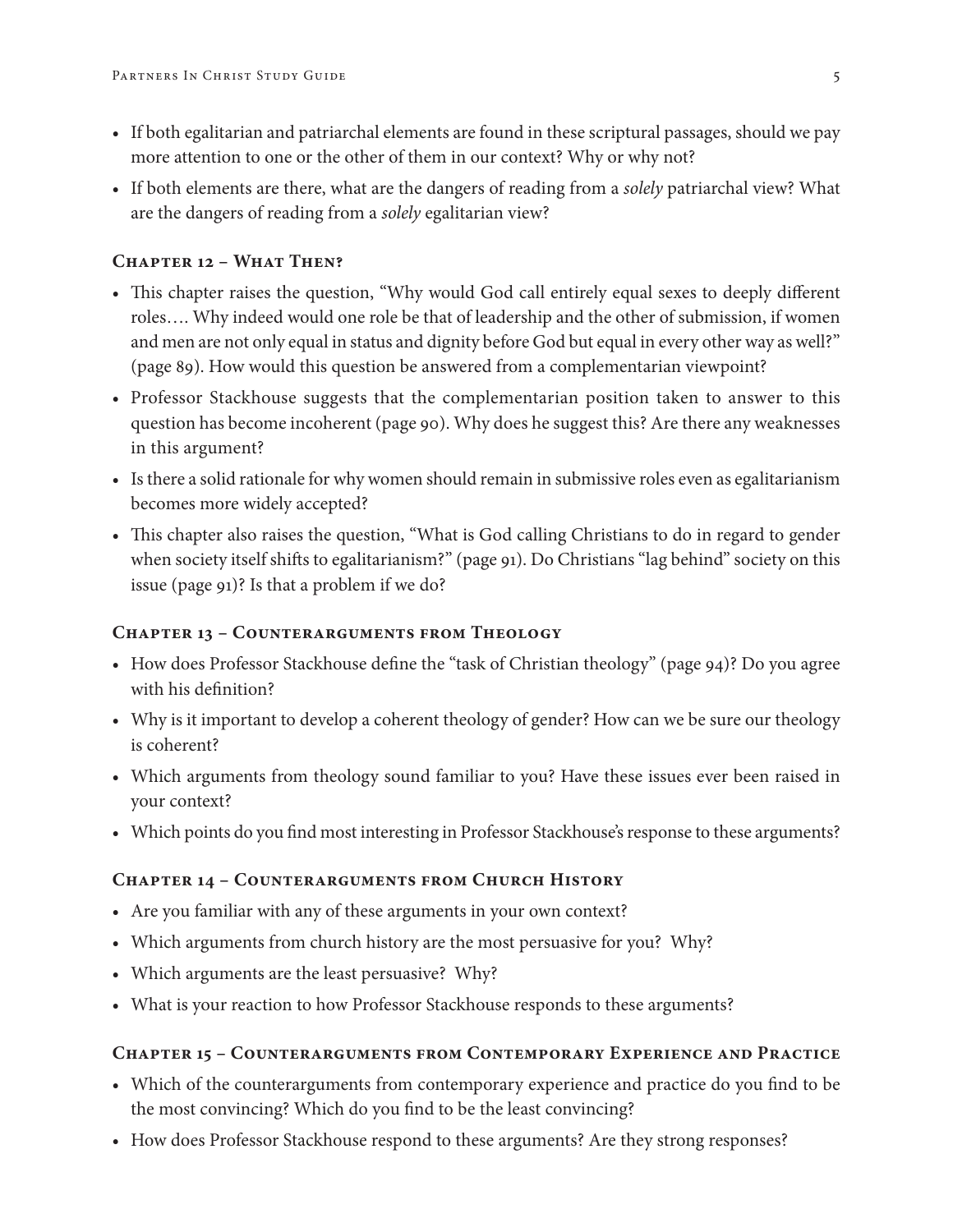- If both egalitarian and patriarchal elements are found in these scriptural passages, should we pay more attention to one or the other of them in our context? Why or why not?
- If both elements are there, what are the dangers of reading from a *solely* patriarchal view? What are the dangers of reading from a *solely* egalitarian view?

#### **Chapter 12 – What Then?**

- This chapter raises the question, "Why would God call entirely equal sexes to deeply different roles…. Why indeed would one role be that of leadership and the other of submission, if women and men are not only equal in status and dignity before God but equal in every other way as well?" (page 89). How would this question be answered from a complementarian viewpoint?
- Professor Stackhouse suggests that the complementarian position taken to answer to this question has become incoherent (page 90). Why does he suggest this? Are there any weaknesses in this argument?
- Is there a solid rationale for why women should remain in submissive roles even as egalitarianism becomes more widely accepted?
- This chapter also raises the question, "What is God calling Christians to do in regard to gender when society itself shifts to egalitarianism?" (page 91). Do Christians "lag behind" society on this issue (page 91)? Is that a problem if we do?

#### **Chapter 13 – Counterarguments from Theology**

- How does Professor Stackhouse define the "task of Christian theology" (page 94)? Do you agree with his definition?
- Why is it important to develop a coherent theology of gender? How can we be sure our theology is coherent?
- Which arguments from theology sound familiar to you? Have these issues ever been raised in your context?
- Which points do you find most interesting in Professor Stackhouse's response to these arguments?

#### **Chapter 14 – Counterarguments from Church History**

- Are you familiar with any of these arguments in your own context?
- Which arguments from church history are the most persuasive for you? Why?
- Which arguments are the least persuasive? Why?
- What is your reaction to how Professor Stackhouse responds to these arguments?

#### **Chapter 15 – Counterarguments from Contemporary Experience and Practice**

- Which of the counterarguments from contemporary experience and practice do you find to be the most convincing? Which do you find to be the least convincing?
- How does Professor Stackhouse respond to these arguments? Are they strong responses?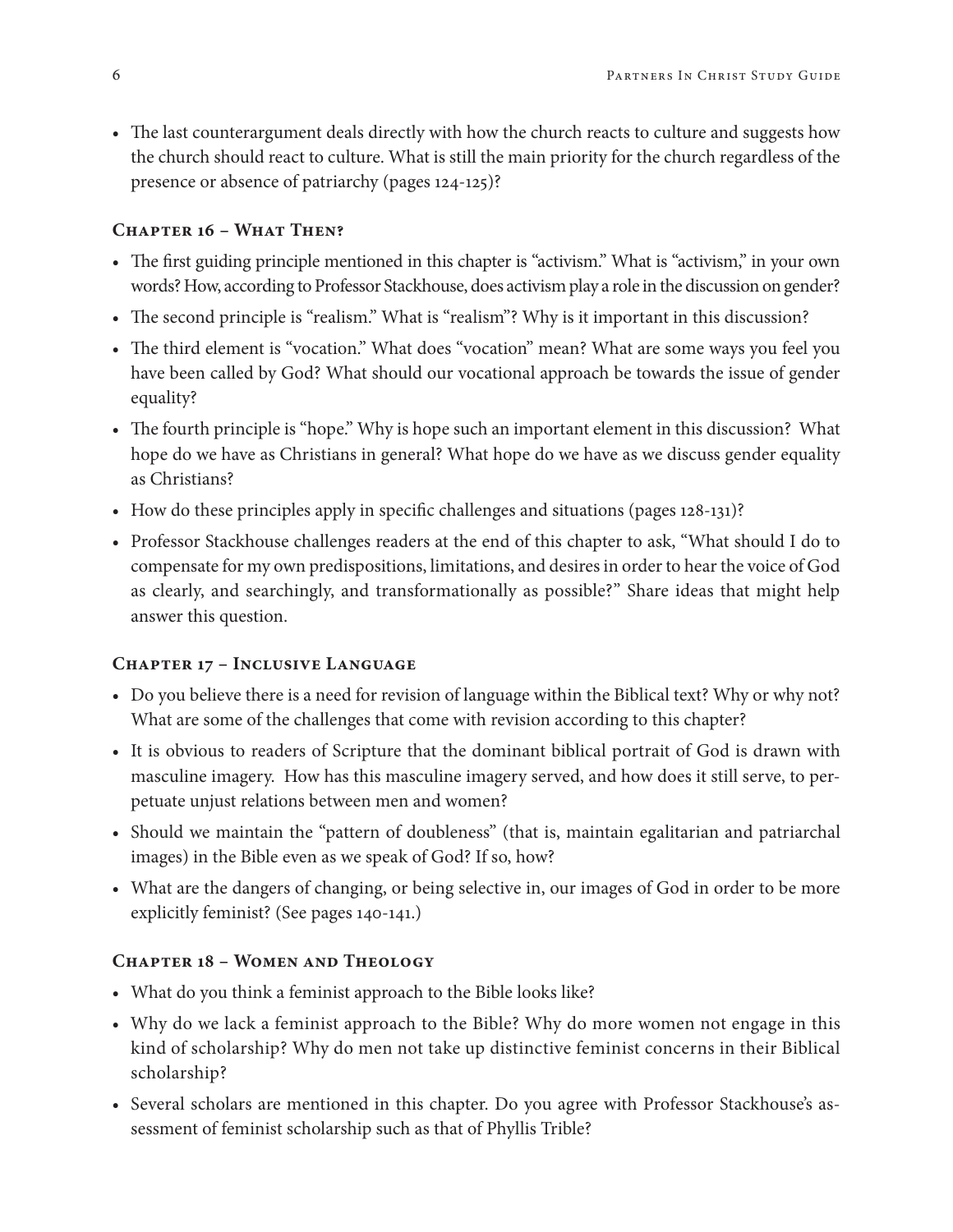• The last counterargument deals directly with how the church reacts to culture and suggests how the church should react to culture. What is still the main priority for the church regardless of the presence or absence of patriarchy (pages 124-125)?

#### **Chapter 16 – What Then?**

- The first guiding principle mentioned in this chapter is "activism." What is "activism," in your own words? How, according to Professor Stackhouse, does activism play a role in the discussion on gender?
- The second principle is "realism." What is "realism"? Why is it important in this discussion?
- The third element is "vocation." What does "vocation" mean? What are some ways you feel you have been called by God? What should our vocational approach be towards the issue of gender equality?
- The fourth principle is "hope." Why is hope such an important element in this discussion? What hope do we have as Christians in general? What hope do we have as we discuss gender equality as Christians?
- How do these principles apply in specific challenges and situations (pages 128-131)?
- Professor Stackhouse challenges readers at the end of this chapter to ask, "What should I do to compensate for my own predispositions, limitations, and desires in order to hear the voice of God as clearly, and searchingly, and transformationally as possible?" Share ideas that might help answer this question.

#### **Chapter 17 – Inclusive Language**

- Do you believe there is a need for revision of language within the Biblical text? Why or why not? What are some of the challenges that come with revision according to this chapter?
- It is obvious to readers of Scripture that the dominant biblical portrait of God is drawn with masculine imagery. How has this masculine imagery served, and how does it still serve, to perpetuate unjust relations between men and women?
- Should we maintain the "pattern of doubleness" (that is, maintain egalitarian and patriarchal images) in the Bible even as we speak of God? If so, how?
- What are the dangers of changing, or being selective in, our images of God in order to be more explicitly feminist? (See pages 140-141.)

#### **Chapter 18 – Women and Theology**

- What do you think a feminist approach to the Bible looks like?
- Why do we lack a feminist approach to the Bible? Why do more women not engage in this kind of scholarship? Why do men not take up distinctive feminist concerns in their Biblical scholarship?
- Several scholars are mentioned in this chapter. Do you agree with Professor Stackhouse's assessment of feminist scholarship such as that of Phyllis Trible?